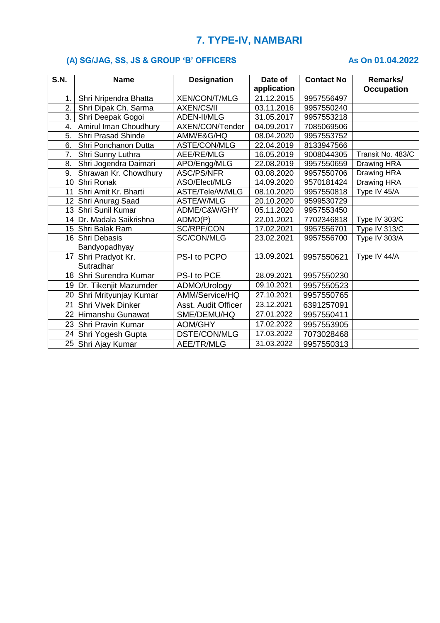# **7. TYPE-IV, NAMBARI**

### **(A) SG/JAG, SS, JS & GROUP 'B' OFFICERS** As On 01.04.2022

| S.N.             | <b>Name</b>               | <b>Designation</b>   | Date of     | <b>Contact No</b> | Remarks/                   |
|------------------|---------------------------|----------------------|-------------|-------------------|----------------------------|
|                  |                           |                      | application |                   | <b>Occupation</b>          |
| 1.               | Shri Nripendra Bhatta     | <b>XEN/CON/T/MLG</b> | 21.12.2015  | 9957556497        |                            |
| 2.               | Shri Dipak Ch. Sarma      | <b>AXEN/CS/II</b>    | 03.11.2016  | 9957550240        |                            |
| $\overline{3}$ . | Shri Deepak Gogoi         | <b>ADEN-II/MLG</b>   | 31.05.2017  | 9957553218        |                            |
| 4.               | Amirul Iman Choudhury     | AXEN/CON/Tender      | 04.09.2017  | 7085069506        |                            |
| 5.               | <b>Shri Prasad Shinde</b> | AMM/E&G/HQ           | 08.04.2020  | 9957553752        |                            |
| 6.               | Shri Ponchanon Dutta      | ASTE/CON/MLG         | 22.04.2019  | 8133947566        |                            |
| 7.               | Shri Sunny Luthra         | AEE/RE/MLG           | 16.05.2019  | 9008044305        | Transit No. 483/C          |
| 8.               | Shri Jogendra Daimari     | APO/Engg/MLG         | 22.08.2019  | 9957550659        | Drawing HRA                |
| 9.               | Shrawan Kr. Chowdhury     | ASC/PS/NFR           | 03.08.2020  | 9957550706        | Drawing HRA                |
|                  | 10 Shri Ronak             | ASO/Elect/MLG        | 14.09.2020  | 9570181424        | Drawing HRA                |
| 11               | Shri Amit Kr. Bharti      | ASTE/Tele/W/MLG      | 08.10.2020  | 9957550818        | Type IV 45/A               |
|                  | 12 Shri Anurag Saad       | <b>ASTE/W/MLG</b>    | 20.10.2020  | 9599530729        |                            |
|                  | 13 Shri Sunil Kumar       | ADME/C&W/GHY         | 05.11.2020  | 9957553450        |                            |
|                  | 14 Dr. Madala Saikrishna  | ADMO(P)              | 22.01.2021  | 7702346818        | Type IV 303/C              |
|                  | 15 Shri Balak Ram         | SC/RPF/CON           | 17.02.2021  | 9957556701        | $\overline{Type}$ IV 313/C |
|                  | 16 Shri Debasis           | <b>SC/CON/MLG</b>    | 23.02.2021  | 9957556700        | Type IV 303/A              |
|                  | Bandyopadhyay             |                      |             |                   |                            |
| 17               | Shri Pradyot Kr.          | PS-I to PCPO         | 13.09.2021  | 9957550621        | Type IV 44/A               |
|                  | Sutradhar                 |                      |             |                   |                            |
|                  | 18 Shri Surendra Kumar    | PS-I to PCE          | 28.09.2021  | 9957550230        |                            |
|                  | 19 Dr. Tikenjit Mazumder  | ADMO/Urology         | 09.10.2021  | 9957550523        |                            |
|                  | 20 Shri Mrityunjay Kumar  | AMM/Service/HQ       | 27.10.2021  | 9957550765        |                            |
| 21               | Shri Vivek Dinker         | Asst. Audit Officer  | 23.12.2021  | 6391257091        |                            |
|                  | 22 Himanshu Gunawat       | SME/DEMU/HQ          | 27.01.2022  | 9957550411        |                            |
|                  | 23 Shri Pravin Kumar      | <b>AOM/GHY</b>       | 17.02.2022  | 9957553905        |                            |
| 24               | Shri Yogesh Gupta         | DSTE/CON/MLG         | 17.03.2022  | 7073028468        |                            |
|                  | 25 Shri Ajay Kumar        | AEE/TR/MLG           | 31.03.2022  | 9957550313        |                            |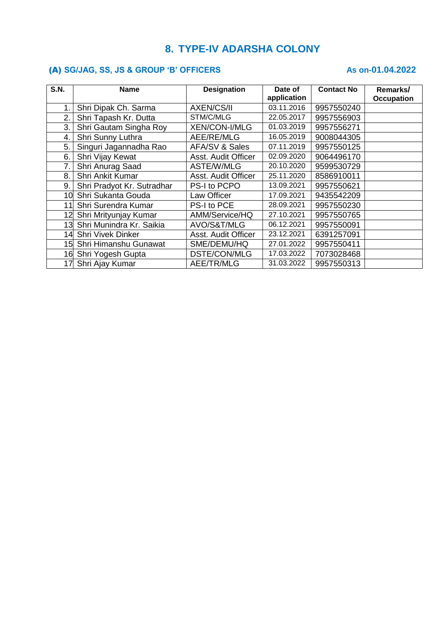## **8. TYPE-IV ADARSHA COLONY**

### (A) SG/JAG, SS, JS & GROUP 'B' OFFICERS As on-01.04.2022

| <b>S.N.</b> | <b>Name</b>                 | <b>Designation</b>   | Date of     | <b>Contact No</b> | Remarks/          |
|-------------|-----------------------------|----------------------|-------------|-------------------|-------------------|
|             |                             |                      | application |                   | <b>Occupation</b> |
| 1.          | Shri Dipak Ch. Sarma        | <b>AXEN/CS/II</b>    | 03.11.2016  | 9957550240        |                   |
| 2.          | Shri Tapash Kr. Dutta       | STM/C/MLG            | 22.05.2017  | 9957556903        |                   |
| 3.          | Shri Gautam Singha Roy      | <b>XEN/CON-I/MLG</b> | 01.03.2019  | 9957556271        |                   |
| 4.          | Shri Sunny Luthra           | AEE/RE/MLG           | 16.05.2019  | 9008044305        |                   |
| 5.          | Singuri Jagannadha Rao      | AFA/SV & Sales       | 07.11.2019  | 9957550125        |                   |
| 6.          | Shri Vijay Kewat            | Asst. Audit Officer  | 02.09.2020  | 9064496170        |                   |
| 7.          | Shri Anurag Saad            | ASTE/W/MLG           | 20.10.2020  | 9599530729        |                   |
| 8.          | Shri Ankit Kumar            | Asst. Audit Officer  | 25.11.2020  | 8586910011        |                   |
| 9.          | Shri Pradyot Kr. Sutradhar  | PS-I to PCPO         | 13.09.2021  | 9957550621        |                   |
| 10          | Shri Sukanta Gouda          | Law Officer          | 17.09.2021  | 9435542209        |                   |
| 11          | Shri Surendra Kumar         | PS-I to PCE          | 28.09.2021  | 9957550230        |                   |
|             | 12 Shri Mrityunjay Kumar    | AMM/Service/HQ       | 27.10.2021  | 9957550765        |                   |
|             | 13 Shri Munindra Kr. Saikia | AVO/S&T/MLG          | 06.12.2021  | 9957550091        |                   |
|             | 14 Shri Vivek Dinker        | Asst. Audit Officer  | 23.12.2021  | 6391257091        |                   |
|             | 15 Shri Himanshu Gunawat    | SME/DEMU/HQ          | 27.01.2022  | 9957550411        |                   |
|             | 16 Shri Yogesh Gupta        | DSTE/CON/MLG         | 17.03.2022  | 7073028468        |                   |
|             | 17 Shri Ajay Kumar          | AEE/TR/MLG           | 31.03.2022  | 9957550313        |                   |